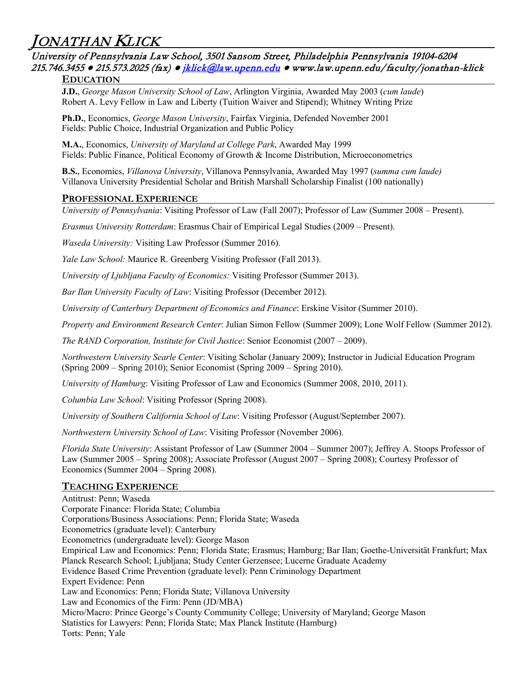JONATHAN **KLICK**<br>University of Pennsylvania Law School, 3501 Sansom Street, Philadelphia Pennsylvania 19104-6204 215.746.3455 **●** 215.573.2025 (fax) ● [jklick@law.upenn.edu](mailto:jklick@law.upenn.edu) **●** www.law.upenn.edu/faculty/jonathan-klick

#### **EDUCATION**

**J.D.**, *George Mason University School of Law*, Arlington Virginia, Awarded May 2003 (*cum laude*) Robert A. Levy Fellow in Law and Liberty (Tuition Waiver and Stipend); Whitney Writing Prize

**Ph.D.**, Economics, *George Mason University*, Fairfax Virginia, Defended November 2001 Fields: Public Choice, Industrial Organization and Public Policy

**M.A.**, Economics, *University of Maryland at College Park*, Awarded May 1999 Fields: Public Finance, Political Economy of Growth & Income Distribution, Microeconometrics

**B.S.**, Economics, *Villanova University*, Villanova Pennsylvania, Awarded May 1997 (*summa cum laude)* Villanova University Presidential Scholar and British Marshall Scholarship Finalist (100 nationally)

#### **PROFESSIONAL EXPERIENCE**

*University of Pennsylvania*: Visiting Professor of Law (Fall 2007); Professor of Law (Summer 2008 – Present).

*Erasmus University Rotterdam*: Erasmus Chair of Empirical Legal Studies (2009 – Present).

*Waseda University:* Visiting Law Professor (Summer 2016).

*Yale Law School:* Maurice R. Greenberg Visiting Professor (Fall 2013).

*University of Ljubljana Faculty of Economics:* Visiting Professor (Summer 2013).

*Bar Ilan University Faculty of Law*: Visiting Professor (December 2012).

*University of Canterbury Department of Economics and Finance*: Erskine Visitor (Summer 2010).

*Property and Environment Research Center*: Julian Simon Fellow (Summer 2009); Lone Wolf Fellow (Summer 2012).

*The RAND Corporation, Institute for Civil Justice*: Senior Economist (2007 – 2009).

*Northwestern University Searle Center*: Visiting Scholar (January 2009); Instructor in Judicial Education Program (Spring 2009 – Spring 2010); Senior Economist (Spring 2009 – Spring 2010).

*University of Hamburg*: Visiting Professor of Law and Economics (Summer 2008, 2010, 2011).

*Columbia Law School*: Visiting Professor (Spring 2008).

*University of Southern California School of Law*: Visiting Professor (August/September 2007).

*Northwestern University School of Law*: Visiting Professor (November 2006).

*Florida State University*: Assistant Professor of Law (Summer 2004 – Summer 2007); Jeffrey A. Stoops Professor of Law (Summer 2005 – Spring 2008); Associate Professor (August 2007 – Spring 2008); Courtesy Professor of Economics (Summer 2004 – Spring 2008).

#### **TEACHING EXPERIENCE**

Antitrust: Penn; Waseda Corporate Finance: Florida State; Columbia Corporations/Business Associations: Penn; Florida State; Waseda Econometrics (graduate level): Canterbury Econometrics (undergraduate level): George Mason Empirical Law and Economics: Penn; Florida State; Erasmus; Hamburg; Bar Ilan; Goethe-Universität Frankfurt; Max Planck Research School; Ljubljana; Study Center Gerzensee; Lucerne Graduate Academy Evidence Based Crime Prevention (graduate level): Penn Criminology Department Expert Evidence: Penn Law and Economics: Penn; Florida State; Villanova University Law and Economics of the Firm: Penn (JD/MBA) Micro/Macro: Prince George's County Community College; University of Maryland; George Mason Statistics for Lawyers: Penn; Florida State; Max Planck Institute (Hamburg) Torts: Penn; Yale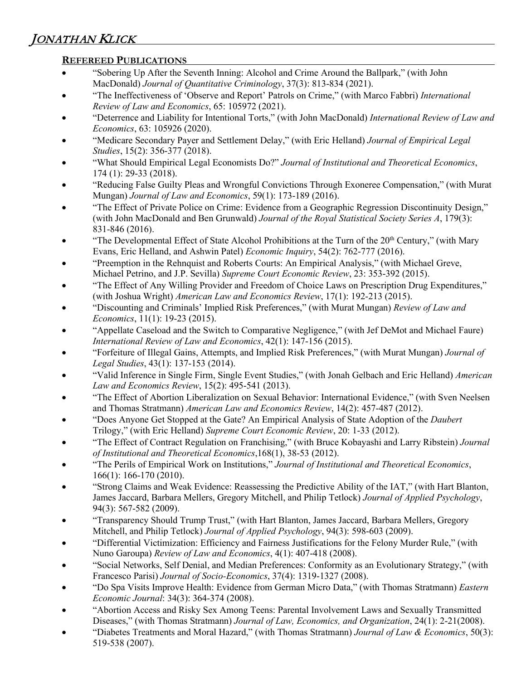# **REFEREED PUBLICATIONS**

- "Sobering Up After the Seventh Inning: Alcohol and Crime Around the Ballpark," (with John MacDonald) *Journal of Quantitative Criminology*, 37(3): 813-834 (2021).
- "The Ineffectiveness of 'Observe and Report' Patrols on Crime," (with Marco Fabbri) *International Review of Law and Economics*, 65: 105972 (2021).
- "Deterrence and Liability for Intentional Torts," (with John MacDonald) *International Review of Law and Economics*, 63: 105926 (2020).
- "Medicare Secondary Payer and Settlement Delay," (with Eric Helland) *Journal of Empirical Legal Studies*, 15(2): 356-377 (2018).
- "What Should Empirical Legal Economists Do?" *Journal of Institutional and Theoretical Economics*, 174 (1): 29-33 (2018).
- "Reducing False Guilty Pleas and Wrongful Convictions Through Exoneree Compensation," (with Murat Mungan) *Journal of Law and Economics*, 59(1): 173-189 (2016).
- "The Effect of Private Police on Crime: Evidence from a Geographic Regression Discontinuity Design," (with John MacDonald and Ben Grunwald) *Journal of the Royal Statistical Society Series A*, 179(3): 831-846 (2016).
- "The Developmental Effect of State Alcohol Prohibitions at the Turn of the 20<sup>th</sup> Century," (with Mary Evans, Eric Helland, and Ashwin Patel) *Economic Inquiry*, 54(2): 762-777 (2016).
- "Preemption in the Rehnquist and Roberts Courts: An Empirical Analysis," (with Michael Greve, Michael Petrino, and J.P. Sevilla) *Supreme Court Economic Review*, 23: 353-392 (2015).
- "The Effect of Any Willing Provider and Freedom of Choice Laws on Prescription Drug Expenditures," (with Joshua Wright) *American Law and Economics Review*, 17(1): 192-213 (2015).
- "Discounting and Criminals' Implied Risk Preferences," (with Murat Mungan) *Review of Law and Economics*, 11(1): 19-23 (2015).
- "Appellate Caseload and the Switch to Comparative Negligence," (with Jef DeMot and Michael Faure) *International Review of Law and Economics*, 42(1): 147-156 (2015).
- "Forfeiture of Illegal Gains, Attempts, and Implied Risk Preferences," (with Murat Mungan) *Journal of Legal Studies*, 43(1): 137-153 (2014).
- "Valid Inference in Single Firm, Single Event Studies," (with Jonah Gelbach and Eric Helland) *American Law and Economics Review*, 15(2): 495-541 (2013).
- "The Effect of Abortion Liberalization on Sexual Behavior: International Evidence," (with Sven Neelsen and Thomas Stratmann) *American Law and Economics Review*, 14(2): 457-487 (2012).
- "Does Anyone Get Stopped at the Gate? An Empirical Analysis of State Adoption of the *Daubert* Trilogy," (with Eric Helland) *Supreme Court Economic Review*, 20: 1-33 (2012).
- "The Effect of Contract Regulation on Franchising," (with Bruce Kobayashi and Larry Ribstein) *Journal of Institutional and Theoretical Economics*,168(1), 38-53 (2012).
- "The Perils of Empirical Work on Institutions," *Journal of Institutional and Theoretical Economics*, 166(1): 166-170 (2010).
- "Strong Claims and Weak Evidence: Reassessing the Predictive Ability of the IAT," (with Hart Blanton, James Jaccard, Barbara Mellers, Gregory Mitchell, and Philip Tetlock) *Journal of Applied Psychology*, 94(3): 567-582 (2009).
- "Transparency Should Trump Trust," (with Hart Blanton, James Jaccard, Barbara Mellers, Gregory Mitchell, and Philip Tetlock) *Journal of Applied Psychology*, 94(3): 598-603 (2009).
- "Differential Victimization: Efficiency and Fairness Justifications for the Felony Murder Rule," (with Nuno Garoupa) *Review of Law and Economics*, 4(1): 407-418 (2008).
- "Social Networks, Self Denial, and Median Preferences: Conformity as an Evolutionary Strategy," (with Francesco Parisi) *Journal of Socio-Economics*, 37(4): 1319-1327 (2008).
- "Do Spa Visits Improve Health: Evidence from German Micro Data," (with Thomas Stratmann) *Eastern Economic Journal*: 34(3): 364-374 (2008).
- "Abortion Access and Risky Sex Among Teens: Parental Involvement Laws and Sexually Transmitted Diseases," (with Thomas Stratmann) *Journal of Law, Economics, and Organization*, 24(1): 2-21(2008).
- "Diabetes Treatments and Moral Hazard," (with Thomas Stratmann) *Journal of Law & Economics*, 50(3): 519-538 (2007).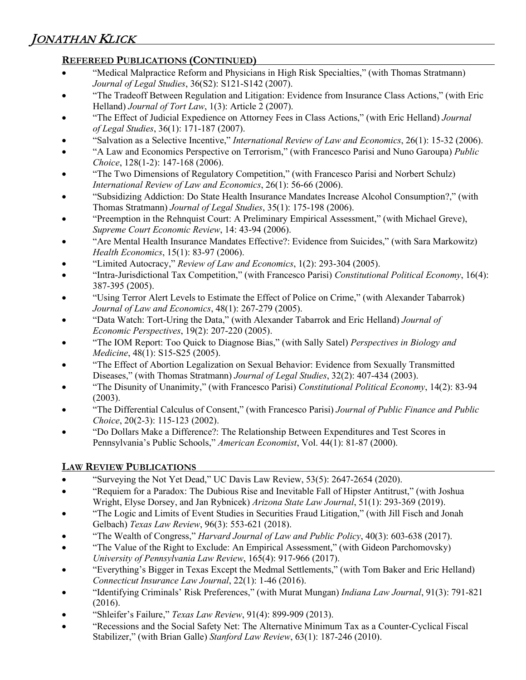# **REFEREED PUBLICATIONS (CONTINUED)**

- "Medical Malpractice Reform and Physicians in High Risk Specialties," (with Thomas Stratmann) *Journal of Legal Studies*, 36(S2): S121-S142 (2007).
- "The Tradeoff Between Regulation and Litigation: Evidence from Insurance Class Actions," (with Eric Helland) *Journal of Tort Law*, 1(3): Article 2 (2007).
- "The Effect of Judicial Expedience on Attorney Fees in Class Actions," (with Eric Helland) *Journal of Legal Studies*, 36(1): 171-187 (2007).
- "Salvation as a Selective Incentive," *International Review of Law and Economics*, 26(1): 15-32 (2006).
- "A Law and Economics Perspective on Terrorism," (with Francesco Parisi and Nuno Garoupa) *Public Choice*, 128(1-2): 147-168 (2006).
- "The Two Dimensions of Regulatory Competition," (with Francesco Parisi and Norbert Schulz) *International Review of Law and Economics*, 26(1): 56-66 (2006).
- "Subsidizing Addiction: Do State Health Insurance Mandates Increase Alcohol Consumption?," (with Thomas Stratmann) *Journal of Legal Studies*, 35(1): 175-198 (2006).
- "Preemption in the Rehnquist Court: A Preliminary Empirical Assessment," (with Michael Greve), *Supreme Court Economic Review*, 14: 43-94 (2006).
- "Are Mental Health Insurance Mandates Effective?: Evidence from Suicides," (with Sara Markowitz) *Health Economics*, 15(1): 83-97 (2006).
- "Limited Autocracy," *Review of Law and Economics*, 1(2): 293-304 (2005).
- "Intra-Jurisdictional Tax Competition," (with Francesco Parisi) *Constitutional Political Economy*, 16(4): 387-395 (2005).
- "Using Terror Alert Levels to Estimate the Effect of Police on Crime," (with Alexander Tabarrok) *Journal of Law and Economics*, 48(1): 267-279 (2005).
- "Data Watch: Tort-Uring the Data," (with Alexander Tabarrok and Eric Helland) *Journal of Economic Perspectives*, 19(2): 207-220 (2005).
- "The IOM Report: Too Quick to Diagnose Bias," (with Sally Satel) *Perspectives in Biology and Medicine*, 48(1): S15-S25 (2005).
- "The Effect of Abortion Legalization on Sexual Behavior: Evidence from Sexually Transmitted Diseases," (with Thomas Stratmann) *Journal of Legal Studies*, 32(2): 407-434 (2003).
- "The Disunity of Unanimity," (with Francesco Parisi) *Constitutional Political Economy*, 14(2): 83-94 (2003).
- "The Differential Calculus of Consent," (with Francesco Parisi) *Journal of Public Finance and Public Choice*, 20(2-3): 115-123 (2002).
- "Do Dollars Make a Difference?: The Relationship Between Expenditures and Test Scores in Pennsylvania's Public Schools," *American Economist*, Vol. 44(1): 81-87 (2000).

# **LAW REVIEW PUBLICATIONS**

- "Surveying the Not Yet Dead," UC Davis Law Review, 53(5): 2647-2654 (2020).
- "Requiem for a Paradox: The Dubious Rise and Inevitable Fall of Hipster Antitrust," (with Joshua Wright, Elyse Dorsey, and Jan Rybnicek) *Arizona State Law Journal*, 51(1): 293-369 (2019).
- "The Logic and Limits of Event Studies in Securities Fraud Litigation," (with Jill Fisch and Jonah Gelbach) *Texas Law Review*, 96(3): 553-621 (2018).
- "The Wealth of Congress," *Harvard Journal of Law and Public Policy*, 40(3): 603-638 (2017).
- "The Value of the Right to Exclude: An Empirical Assessment," (with Gideon Parchomovsky) *University of Pennsylvania Law Review*, 165(4): 917-966 (2017).
- "Everything's Bigger in Texas Except the Medmal Settlements," (with Tom Baker and Eric Helland) *Connecticut Insurance Law Journal*, 22(1): 1-46 (2016).
- "Identifying Criminals' Risk Preferences," (with Murat Mungan) *Indiana Law Journal*, 91(3): 791-821 (2016).
- "Shleifer's Failure," *Texas Law Review*, 91(4): 899-909 (2013).
- "Recessions and the Social Safety Net: The Alternative Minimum Tax as a Counter-Cyclical Fiscal Stabilizer," (with Brian Galle) *Stanford Law Review*, 63(1): 187-246 (2010).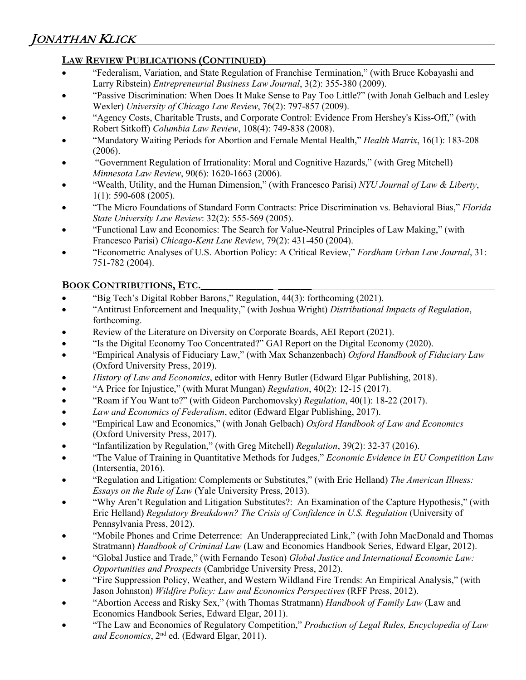# **LAW REVIEW PUBLICATIONS (CONTINUED)**

- "Federalism, Variation, and State Regulation of Franchise Termination," (with Bruce Kobayashi and Larry Ribstein) *Entrepreneurial Business Law Journal*, 3(2): 355-380 (2009).
- "Passive Discrimination: When Does It Make Sense to Pay Too Little?" (with Jonah Gelbach and Lesley Wexler) *University of Chicago Law Review*, 76(2): 797-857 (2009).
- "Agency Costs, Charitable Trusts, and Corporate Control: Evidence From Hershey's Kiss-Off," (with Robert Sitkoff) *Columbia Law Review*, 108(4): 749-838 (2008).
- "Mandatory Waiting Periods for Abortion and Female Mental Health," *Health Matrix*, 16(1): 183-208 (2006).
- "Government Regulation of Irrationality: Moral and Cognitive Hazards," (with Greg Mitchell) *Minnesota Law Review*, 90(6): 1620-1663 (2006).
- "Wealth, Utility, and the Human Dimension," (with Francesco Parisi) *NYU Journal of Law & Liberty*, 1(1): 590-608 (2005).
- "The Micro Foundations of Standard Form Contracts: Price Discrimination vs. Behavioral Bias," *Florida State University Law Review*: 32(2): 555-569 (2005).
- "Functional Law and Economics: The Search for Value-Neutral Principles of Law Making," (with Francesco Parisi) *Chicago-Kent Law Review*, 79(2): 431-450 (2004).
- "Econometric Analyses of U.S. Abortion Policy: A Critical Review," *Fordham Urban Law Journal*, 31: 751-782 (2004).

# **BOOK CONTRIBUTIONS, ETC.\_\_\_\_\_\_\_\_\_\_\_\_\_ \_\_\_\_\_\_**

- "Big Tech's Digital Robber Barons," Regulation, 44(3): forthcoming (2021).
- "Antitrust Enforcement and Inequality," (with Joshua Wright) *Distributional Impacts of Regulation*, forthcoming.
- Review of the Literature on Diversity on Corporate Boards, AEI Report (2021).
- "Is the Digital Economy Too Concentrated?" GAI Report on the Digital Economy (2020).
- "Empirical Analysis of Fiduciary Law," (with Max Schanzenbach) *Oxford Handbook of Fiduciary Law* (Oxford University Press, 2019).
- *History of Law and Economics*, editor with Henry Butler (Edward Elgar Publishing, 2018).
- "A Price for Injustice," (with Murat Mungan) *Regulation*, 40(2): 12-15 (2017).
- "Roam if You Want to?" (with Gideon Parchomovsky) *Regulation*, 40(1): 18-22 (2017).
- *Law and Economics of Federalism*, editor (Edward Elgar Publishing, 2017).
- "Empirical Law and Economics," (with Jonah Gelbach) *Oxford Handbook of Law and Economics* (Oxford University Press, 2017).
- "Infantilization by Regulation," (with Greg Mitchell) *Regulation*, 39(2): 32-37 (2016).
- "The Value of Training in Quantitative Methods for Judges," *Economic Evidence in EU Competition Law* (Intersentia, 2016).
- "Regulation and Litigation: Complements or Substitutes," (with Eric Helland) *The American Illness: Essays on the Rule of Law* (Yale University Press, 2013).
- "Why Aren't Regulation and Litigation Substitutes?: An Examination of the Capture Hypothesis," (with Eric Helland) *Regulatory Breakdown? The Crisis of Confidence in U.S. Regulation* (University of Pennsylvania Press, 2012).
- "Mobile Phones and Crime Deterrence: An Underappreciated Link," (with John MacDonald and Thomas Stratmann) *Handbook of Criminal Law* (Law and Economics Handbook Series, Edward Elgar, 2012).
- "Global Justice and Trade," (with Fernando Teson) *Global Justice and International Economic Law: Opportunities and Prospects* (Cambridge University Press, 2012).
- "Fire Suppression Policy, Weather, and Western Wildland Fire Trends: An Empirical Analysis," (with Jason Johnston) *Wildfire Policy: Law and Economics Perspectives* (RFF Press, 2012).
- "Abortion Access and Risky Sex," (with Thomas Stratmann) *Handbook of Family Law* (Law and Economics Handbook Series, Edward Elgar, 2011).
- "The Law and Economics of Regulatory Competition," *Production of Legal Rules, Encyclopedia of Law and Economics*, 2nd ed. (Edward Elgar, 2011).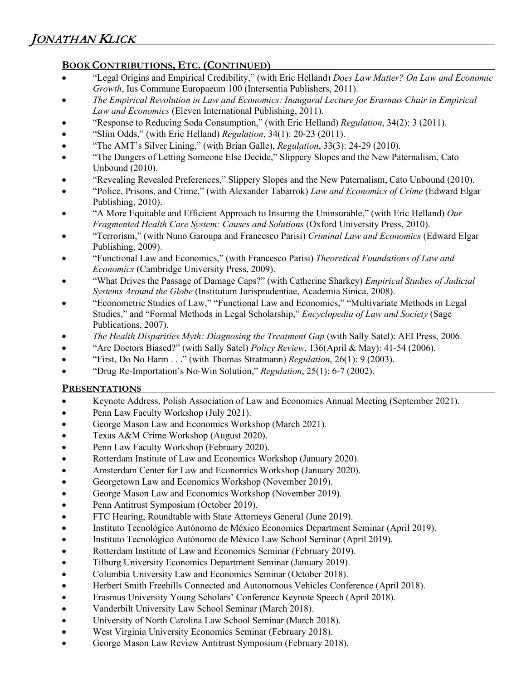# **BOOK CONTRIBUTIONS, ETC. (CONTINUED)\_\_\_\_\_\_\_\_\_\_\_\_**

- "Legal Origins and Empirical Credibility," (with Eric Helland) *Does Law Matter? On Law and Economic Growth*, Ius Commune Europaeum 100 (Intersentia Publishers, 2011).
- *The Empirical Revolution in Law and Economics: Inaugural Lecture for Erasmus Chair in Empirical Law and Economics* (Eleven International Publishing, 2011).
- "Response to Reducing Soda Consumption," (with Eric Helland) *Regulation*, 34(2): 3 (2011).
- "Slim Odds," (with Eric Helland) *Regulation*, 34(1): 20-23 (2011).
- "The AMT's Silver Lining," (with Brian Galle), *Regulation*, 33(3): 24-29 (2010).
- "The Dangers of Letting Someone Else Decide," Slippery Slopes and the New Paternalism, Cato Unbound (2010).
- "Revealing Revealed Preferences," Slippery Slopes and the New Paternalism, Cato Unbound (2010).
- "Police, Prisons, and Crime," (with Alexander Tabarrok) *Law and Economics of Crime* (Edward Elgar Publishing, 2010).
- "A More Equitable and Efficient Approach to Insuring the Uninsurable," (with Eric Helland) *Our Fragmented Health Care System: Causes and Solutions* (Oxford University Press, 2010).
- "Terrorism," (with Nuno Garoupa and Francesco Parisi) *Criminal Law and Economics* (Edward Elgar Publishing, 2009).
- "Functional Law and Economics," (with Francesco Parisi) *Theoretical Foundations of Law and Economics* (Cambridge University Press, 2009).
- "What Drives the Passage of Damage Caps?" (with Catherine Sharkey) *Empirical Studies of Judicial Systems Around the Globe* (Institutum Jurisprudentiae, Academia Sinica, 2008).
- "Econometric Studies of Law," "Functional Law and Economics," "Multivariate Methods in Legal Studies," and "Formal Methods in Legal Scholarship," *Encyclopedia of Law and Society* (Sage Publications, 2007).
- *The Health Disparities Myth: Diagnosing the Treatment Gap* (with Sally Satel): AEI Press, 2006.
- "Are Doctors Biased?" (with Sally Satel) *Policy Review*, 136(April & May): 41-54 (2006).
- "First, Do No Harm . . ." (with Thomas Stratmann) *Regulation*, 26(1): 9 (2003).
- "Drug Re-Importation's No-Win Solution," *Regulation*, 25(1): 6-7 (2002).

## **PRESENTATIONS**

- Keynote Address, Polish Association of Law and Economics Annual Meeting (September 2021).
- Penn Law Faculty Workshop (July 2021).
- George Mason Law and Economics Workshop (March 2021).
- Texas A&M Crime Workshop (August 2020).
- Penn Law Faculty Workshop (February 2020).
- Rotterdam Institute of Law and Economics Workshop (January 2020).
- Amsterdam Center for Law and Economics Workshop (January 2020).
- Georgetown Law and Economics Workshop (November 2019).
- George Mason Law and Economics Workshop (November 2019).
- Penn Antitrust Symposium (October 2019).
- FTC Hearing, Roundtable with State Attorneys General (June 2019).
- Instituto Tecnológico Autónomo de México Economics Department Seminar (April 2019).
- Instituto Tecnológico Autónomo de México Law School Seminar (April 2019).
- Rotterdam Institute of Law and Economics Seminar (February 2019).
- Tilburg University Economics Department Seminar (January 2019).
- Columbia University Law and Economics Seminar (October 2018).
- Herbert Smith Freehills Connected and Autonomous Vehicles Conference (April 2018).
- Erasmus University Young Scholars' Conference Keynote Speech (April 2018).
- Vanderbilt University Law School Seminar (March 2018).
- University of North Carolina Law School Seminar (March 2018).
- West Virginia University Economics Seminar (February 2018).
- George Mason Law Review Antitrust Symposium (February 2018).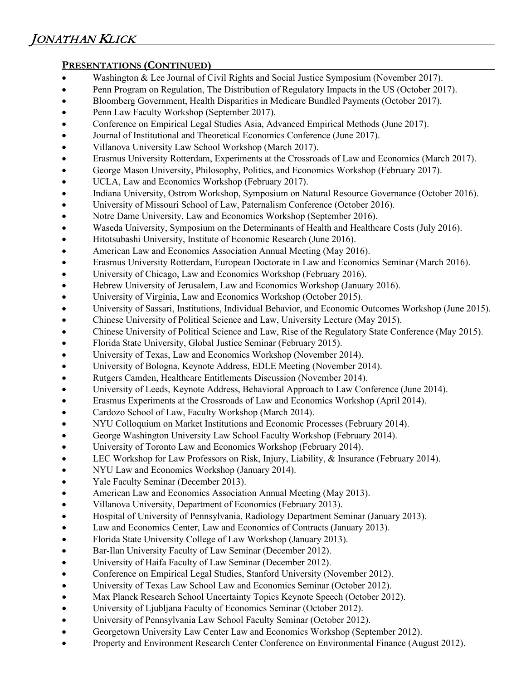# **PRESENTATIONS (CONTINUED)**

- Washington & Lee Journal of Civil Rights and Social Justice Symposium (November 2017).
- Penn Program on Regulation, The Distribution of Regulatory Impacts in the US (October 2017).
- Bloomberg Government, Health Disparities in Medicare Bundled Payments (October 2017).
- Penn Law Faculty Workshop (September 2017).
- Conference on Empirical Legal Studies Asia, Advanced Empirical Methods (June 2017).
- Journal of Institutional and Theoretical Economics Conference (June 2017).
- Villanova University Law School Workshop (March 2017).
- Erasmus University Rotterdam, Experiments at the Crossroads of Law and Economics (March 2017).
- George Mason University, Philosophy, Politics, and Economics Workshop (February 2017).
- UCLA, Law and Economics Workshop (February 2017).
- Indiana University, Ostrom Workshop, Symposium on Natural Resource Governance (October 2016).
- University of Missouri School of Law, Paternalism Conference (October 2016).
- Notre Dame University, Law and Economics Workshop (September 2016).
- Waseda University, Symposium on the Determinants of Health and Healthcare Costs (July 2016).
- Hitotsubashi University, Institute of Economic Research (June 2016).
- American Law and Economics Association Annual Meeting (May 2016).
- Erasmus University Rotterdam, European Doctorate in Law and Economics Seminar (March 2016).
- University of Chicago, Law and Economics Workshop (February 2016).
- Hebrew University of Jerusalem, Law and Economics Workshop (January 2016).
- University of Virginia, Law and Economics Workshop (October 2015).
- University of Sassari, Institutions, Individual Behavior, and Economic Outcomes Workshop (June 2015).
- Chinese University of Political Science and Law, University Lecture (May 2015).
- Chinese University of Political Science and Law, Rise of the Regulatory State Conference (May 2015).
- Florida State University, Global Justice Seminar (February 2015).
- University of Texas, Law and Economics Workshop (November 2014).
- University of Bologna, Keynote Address, EDLE Meeting (November 2014).
- Rutgers Camden, Healthcare Entitlements Discussion (November 2014).
- University of Leeds, Keynote Address, Behavioral Approach to Law Conference (June 2014).
- Erasmus Experiments at the Crossroads of Law and Economics Workshop (April 2014).
- Cardozo School of Law, Faculty Workshop (March 2014).
- NYU Colloquium on Market Institutions and Economic Processes (February 2014).
- George Washington University Law School Faculty Workshop (February 2014).
- University of Toronto Law and Economics Workshop (February 2014).
- LEC Workshop for Law Professors on Risk, Injury, Liability, & Insurance (February 2014).
- NYU Law and Economics Workshop (January 2014).
- Yale Faculty Seminar (December 2013).
- American Law and Economics Association Annual Meeting (May 2013).
- Villanova University, Department of Economics (February 2013).
- Hospital of University of Pennsylvania, Radiology Department Seminar (January 2013).
- Law and Economics Center, Law and Economics of Contracts (January 2013).
- Florida State University College of Law Workshop (January 2013).
- Bar-Ilan University Faculty of Law Seminar (December 2012).
- University of Haifa Faculty of Law Seminar (December 2012).
- Conference on Empirical Legal Studies, Stanford University (November 2012).
- University of Texas Law School Law and Economics Seminar (October 2012).
- Max Planck Research School Uncertainty Topics Keynote Speech (October 2012).
- University of Ljubljana Faculty of Economics Seminar (October 2012).
- University of Pennsylvania Law School Faculty Seminar (October 2012).
- Georgetown University Law Center Law and Economics Workshop (September 2012).
- Property and Environment Research Center Conference on Environmental Finance (August 2012).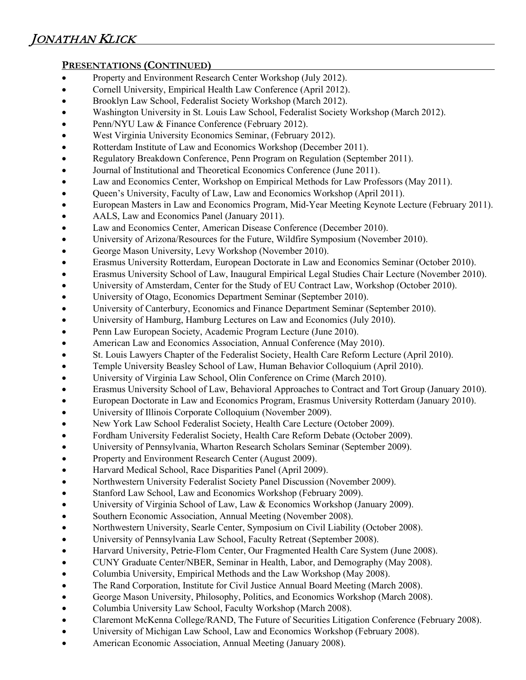## **PRESENTATIONS (CONTINUED)**

- Property and Environment Research Center Workshop (July 2012).
- Cornell University, Empirical Health Law Conference (April 2012).
- Brooklyn Law School, Federalist Society Workshop (March 2012).
- Washington University in St. Louis Law School, Federalist Society Workshop (March 2012).
- Penn/NYU Law & Finance Conference (February 2012).
- West Virginia University Economics Seminar, (February 2012).
- Rotterdam Institute of Law and Economics Workshop (December 2011).
- Regulatory Breakdown Conference, Penn Program on Regulation (September 2011).
- Journal of Institutional and Theoretical Economics Conference (June 2011).
- Law and Economics Center, Workshop on Empirical Methods for Law Professors (May 2011).
- Queen's University, Faculty of Law, Law and Economics Workshop (April 2011).
- European Masters in Law and Economics Program, Mid-Year Meeting Keynote Lecture (February 2011).
- AALS, Law and Economics Panel (January 2011).
- Law and Economics Center, American Disease Conference (December 2010).
- University of Arizona/Resources for the Future, Wildfire Symposium (November 2010).
- George Mason University, Levy Workshop (November 2010).
- Erasmus University Rotterdam, European Doctorate in Law and Economics Seminar (October 2010).
- Erasmus University School of Law, Inaugural Empirical Legal Studies Chair Lecture (November 2010).
- University of Amsterdam, Center for the Study of EU Contract Law, Workshop (October 2010).
- University of Otago, Economics Department Seminar (September 2010).
- University of Canterbury, Economics and Finance Department Seminar (September 2010).
- University of Hamburg, Hamburg Lectures on Law and Economics (July 2010).
- Penn Law European Society, Academic Program Lecture (June 2010).
- American Law and Economics Association, Annual Conference (May 2010).
- St. Louis Lawyers Chapter of the Federalist Society, Health Care Reform Lecture (April 2010).
- Temple University Beasley School of Law, Human Behavior Colloquium (April 2010).
- University of Virginia Law School, Olin Conference on Crime (March 2010).
- Erasmus University School of Law, Behavioral Approaches to Contract and Tort Group (January 2010).
- European Doctorate in Law and Economics Program, Erasmus University Rotterdam (January 2010).
- University of Illinois Corporate Colloquium (November 2009).
- New York Law School Federalist Society, Health Care Lecture (October 2009).
- Fordham University Federalist Society, Health Care Reform Debate (October 2009).
- University of Pennsylvania, Wharton Research Scholars Seminar (September 2009).
- Property and Environment Research Center (August 2009).
- Harvard Medical School, Race Disparities Panel (April 2009).
- Northwestern University Federalist Society Panel Discussion (November 2009).
- Stanford Law School, Law and Economics Workshop (February 2009).
- University of Virginia School of Law, Law & Economics Workshop (January 2009).
- Southern Economic Association, Annual Meeting (November 2008).
- Northwestern University, Searle Center, Symposium on Civil Liability (October 2008).
- University of Pennsylvania Law School, Faculty Retreat (September 2008).
- Harvard University, Petrie-Flom Center, Our Fragmented Health Care System (June 2008).
- CUNY Graduate Center/NBER, Seminar in Health, Labor, and Demography (May 2008).
- Columbia University, Empirical Methods and the Law Workshop (May 2008).
- The Rand Corporation, Institute for Civil Justice Annual Board Meeting (March 2008).
- George Mason University, Philosophy, Politics, and Economics Workshop (March 2008).
- Columbia University Law School, Faculty Workshop (March 2008).
- Claremont McKenna College/RAND, The Future of Securities Litigation Conference (February 2008).
- University of Michigan Law School, Law and Economics Workshop (February 2008).
- American Economic Association, Annual Meeting (January 2008).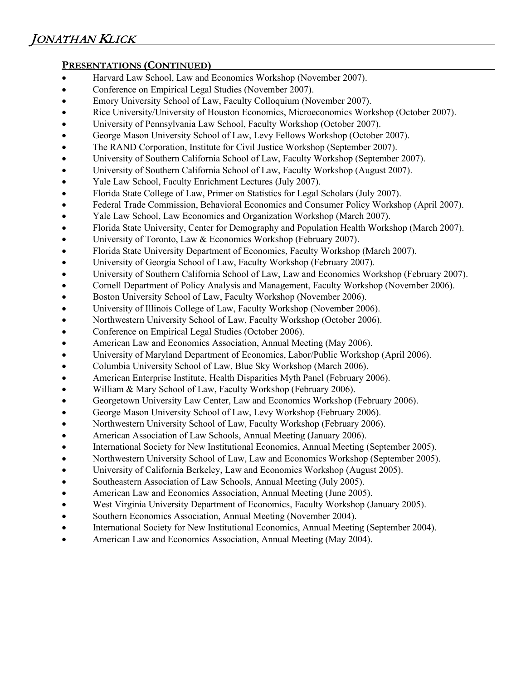# **PRESENTATIONS (CONTINUED)**

- Harvard Law School, Law and Economics Workshop (November 2007).
- Conference on Empirical Legal Studies (November 2007).
- Emory University School of Law, Faculty Colloquium (November 2007).
- Rice University/University of Houston Economics, Microeconomics Workshop (October 2007).
- University of Pennsylvania Law School, Faculty Workshop (October 2007).
- George Mason University School of Law, Levy Fellows Workshop (October 2007).
- The RAND Corporation, Institute for Civil Justice Workshop (September 2007).
- University of Southern California School of Law, Faculty Workshop (September 2007).
- University of Southern California School of Law, Faculty Workshop (August 2007).
- Yale Law School, Faculty Enrichment Lectures (July 2007).
- Florida State College of Law, Primer on Statistics for Legal Scholars (July 2007).
- Federal Trade Commission, Behavioral Economics and Consumer Policy Workshop (April 2007).
- Yale Law School, Law Economics and Organization Workshop (March 2007).
- Florida State University, Center for Demography and Population Health Workshop (March 2007).
- University of Toronto, Law & Economics Workshop (February 2007).
- Florida State University Department of Economics, Faculty Workshop (March 2007).
- University of Georgia School of Law, Faculty Workshop (February 2007).
- University of Southern California School of Law, Law and Economics Workshop (February 2007).
- Cornell Department of Policy Analysis and Management, Faculty Workshop (November 2006).
- Boston University School of Law, Faculty Workshop (November 2006).
- University of Illinois College of Law, Faculty Workshop (November 2006).
- Northwestern University School of Law, Faculty Workshop (October 2006).
- Conference on Empirical Legal Studies (October 2006).
- American Law and Economics Association, Annual Meeting (May 2006).
- University of Maryland Department of Economics, Labor/Public Workshop (April 2006).
- Columbia University School of Law, Blue Sky Workshop (March 2006).
- American Enterprise Institute, Health Disparities Myth Panel (February 2006).
- William & Mary School of Law, Faculty Workshop (February 2006).
- Georgetown University Law Center, Law and Economics Workshop (February 2006).
- George Mason University School of Law, Levy Workshop (February 2006).
- Northwestern University School of Law, Faculty Workshop (February 2006).
- American Association of Law Schools, Annual Meeting (January 2006).
- International Society for New Institutional Economics, Annual Meeting (September 2005).
- Northwestern University School of Law, Law and Economics Workshop (September 2005).
- University of California Berkeley, Law and Economics Workshop (August 2005).
- Southeastern Association of Law Schools, Annual Meeting (July 2005).
- American Law and Economics Association, Annual Meeting (June 2005).
- West Virginia University Department of Economics, Faculty Workshop (January 2005).
- Southern Economics Association, Annual Meeting (November 2004).
- International Society for New Institutional Economics, Annual Meeting (September 2004).
- American Law and Economics Association, Annual Meeting (May 2004).